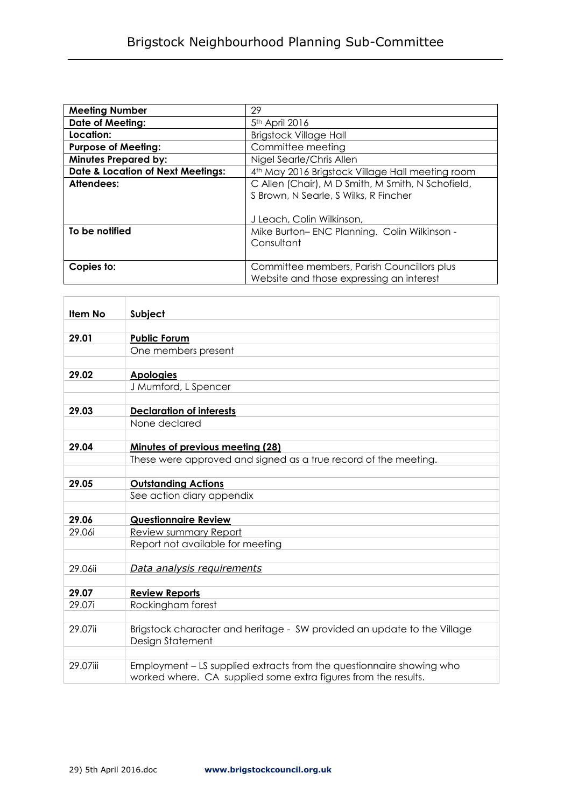| <b>Meeting Number</b>                        | 29                                                           |
|----------------------------------------------|--------------------------------------------------------------|
| Date of Meeting:                             | 5 <sup>th</sup> April 2016                                   |
| Location:                                    | <b>Brigstock Village Hall</b>                                |
| <b>Purpose of Meeting:</b>                   | Committee meeting                                            |
| <b>Minutes Prepared by:</b>                  | Nigel Searle/Chris Allen                                     |
| <b>Date &amp; Location of Next Meetings:</b> | 4 <sup>th</sup> May 2016 Brigstock Village Hall meeting room |
| Attendees:                                   | C Allen (Chair), M D Smith, M Smith, N Schofield,            |
|                                              | S Brown, N Searle, S Wilks, R Fincher                        |
|                                              |                                                              |
|                                              | J Leach, Colin Wilkinson,                                    |
| To be notified                               | Mike Burton-ENC Planning. Colin Wilkinson -                  |
|                                              | Consultant                                                   |
|                                              |                                                              |
| Copies to:                                   | Committee members, Parish Councillors plus                   |
|                                              | Website and those expressing an interest                     |

| Subject                                                                 |  |
|-------------------------------------------------------------------------|--|
|                                                                         |  |
| <b>Public Forum</b>                                                     |  |
| One members present                                                     |  |
|                                                                         |  |
| <b>Apologies</b>                                                        |  |
| J Mumford, L Spencer                                                    |  |
|                                                                         |  |
| <b>Declaration of interests</b>                                         |  |
| None declared                                                           |  |
|                                                                         |  |
| <b>Minutes of previous meeting (28)</b>                                 |  |
| These were approved and signed as a true record of the meeting.         |  |
|                                                                         |  |
| <b>Outstanding Actions</b>                                              |  |
| See action diary appendix                                               |  |
|                                                                         |  |
| <b>Questionnaire Review</b>                                             |  |
| Review summary Report                                                   |  |
| Report not available for meeting                                        |  |
| Data analysis requirements                                              |  |
|                                                                         |  |
| <b>Review Reports</b>                                                   |  |
| Rockingham forest                                                       |  |
|                                                                         |  |
| Brigstock character and heritage - SW provided an update to the Village |  |
| Design Statement                                                        |  |
|                                                                         |  |
| Employment - LS supplied extracts from the questionnaire showing who    |  |
| worked where. CA supplied some extra figures from the results.          |  |
|                                                                         |  |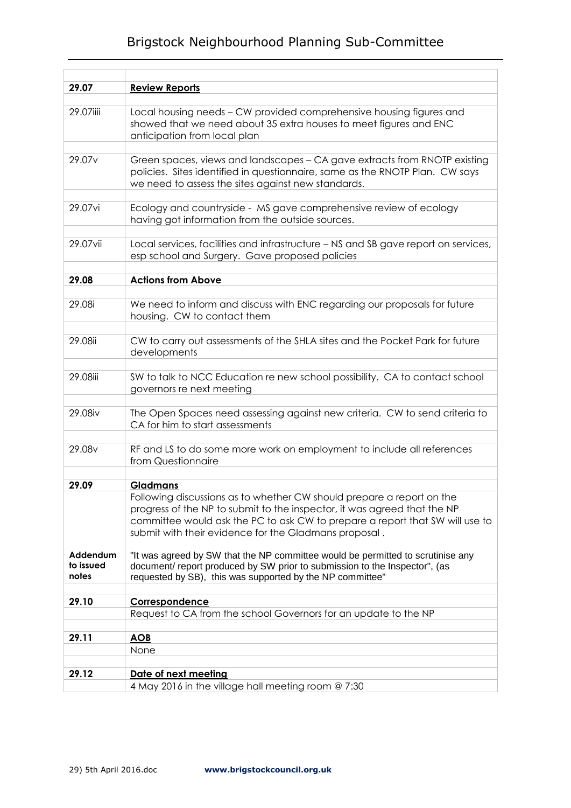## Brigstock Neighbourhood Planning Sub-Committee

| 29.07              | <b>Review Reports</b>                                                                                                                                                                                                                                                                      |  |  |
|--------------------|--------------------------------------------------------------------------------------------------------------------------------------------------------------------------------------------------------------------------------------------------------------------------------------------|--|--|
| 29.07iiii          | Local housing needs - CW provided comprehensive housing figures and<br>showed that we need about 35 extra houses to meet figures and ENC<br>anticipation from local plan                                                                                                                   |  |  |
| 29.07 <sub>v</sub> | Green spaces, views and landscapes - CA gave extracts from RNOTP existing<br>policies. Sites identified in questionnaire, same as the RNOTP Plan. CW says<br>we need to assess the sites against new standards.                                                                            |  |  |
| 29.07vi            | Ecology and countryside - MS gave comprehensive review of ecology<br>having got information from the outside sources.                                                                                                                                                                      |  |  |
| 29.07vii           | Local services, facilities and infrastructure - NS and SB gave report on services,<br>esp school and Surgery. Gave proposed policies                                                                                                                                                       |  |  |
| 29.08              | <b>Actions from Above</b>                                                                                                                                                                                                                                                                  |  |  |
| 29.08i             | We need to inform and discuss with ENC regarding our proposals for future<br>housing. CW to contact them                                                                                                                                                                                   |  |  |
| 29.08ii            | CW to carry out assessments of the SHLA sites and the Pocket Park for future<br>developments                                                                                                                                                                                               |  |  |
| 29.08iii           | SW to talk to NCC Education re new school possibility. CA to contact school<br>governors re next meeting                                                                                                                                                                                   |  |  |
| 29.08iv            | The Open Spaces need assessing against new criteria. CW to send criteria to<br>CA for him to start assessments                                                                                                                                                                             |  |  |
| 29.08v             | RF and LS to do some more work on employment to include all references<br>from Questionnaire                                                                                                                                                                                               |  |  |
| 29.09              | <b>Gladmans</b>                                                                                                                                                                                                                                                                            |  |  |
| Addendum           | Following discussions as to whether CW should prepare a report on the<br>progress of the NP to submit to the inspector, it was agreed that the NP<br>committee would ask the PC to ask CW to prepare a report that SW will use to<br>submit with their evidence for the Gladmans proposal. |  |  |
| to issued<br>notes | "It was agreed by SW that the NP committee would be permitted to scrutinise any<br>document/ report produced by SW prior to submission to the Inspector", (as<br>requested by SB), this was supported by the NP committee"                                                                 |  |  |
| 29.10              | Correspondence                                                                                                                                                                                                                                                                             |  |  |
|                    | Request to CA from the school Governors for an update to the NP                                                                                                                                                                                                                            |  |  |
| 29.11              | <b>AOB</b>                                                                                                                                                                                                                                                                                 |  |  |
|                    | None                                                                                                                                                                                                                                                                                       |  |  |
| 29.12              | Date of next meeting<br>4 May 2016 in the village hall meeting room @ 7:30                                                                                                                                                                                                                 |  |  |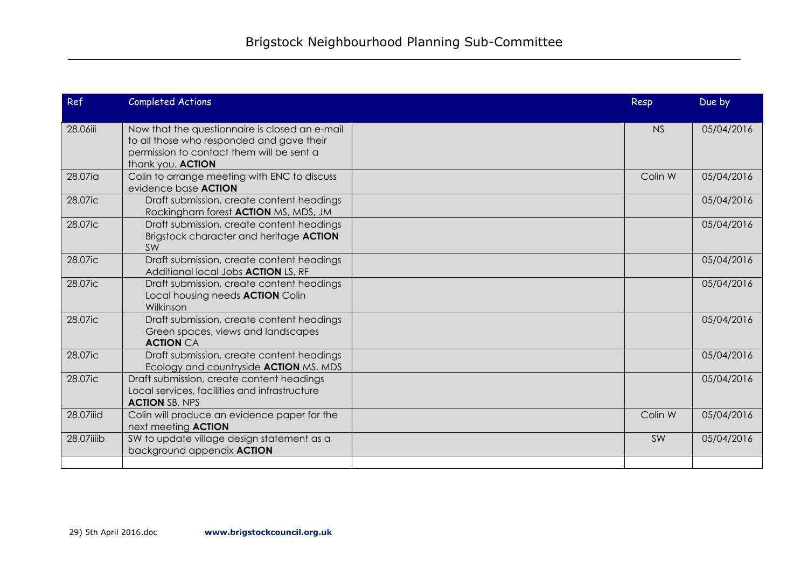| Ref        | <b>Completed Actions</b>                                                                                                                                      | Resp      | Due by     |
|------------|---------------------------------------------------------------------------------------------------------------------------------------------------------------|-----------|------------|
| 28.06iii   | Now that the questionnaire is closed an e-mail<br>to all those who responded and gave their<br>permission to contact them will be sent a<br>thank you. ACTION | <b>NS</b> | 05/04/2016 |
| 28.07ia    | Colin to arrange meeting with ENC to discuss<br>evidence base <b>ACTION</b>                                                                                   | Colin W   | 05/04/2016 |
| 28.07ic    | Draft submission, create content headings<br>Rockingham forest <b>ACTION</b> MS, MDS, JM                                                                      |           | 05/04/2016 |
| 28.07ic    | Draft submission, create content headings<br>Brigstock character and heritage ACTION<br>SW                                                                    |           | 05/04/2016 |
| 28.07ic    | Draft submission, create content headings<br>Additional local Jobs <b>ACTION</b> LS, RF                                                                       |           | 05/04/2016 |
| 28.07ic    | Draft submission, create content headings<br>Local housing needs <b>ACTION</b> Colin<br>Wilkinson                                                             |           | 05/04/2016 |
| 28.07ic    | Draft submission, create content headings<br>Green spaces, views and landscapes<br><b>ACTION CA</b>                                                           |           | 05/04/2016 |
| 28.07ic    | Draft submission, create content headings<br>Ecology and countryside <b>ACTION</b> MS, MDS                                                                    |           | 05/04/2016 |
| 28.07ic    | Draft submission, create content headings<br>Local services, facilities and infrastructure<br><b>ACTION SB, NPS</b>                                           |           | 05/04/2016 |
| 28.07iiid  | Colin will produce an evidence paper for the<br>next meeting <b>ACTION</b>                                                                                    | Colin W   | 05/04/2016 |
| 28.07iiiib | SW to update village design statement as a<br>background appendix ACTION                                                                                      | SW        | 05/04/2016 |
|            |                                                                                                                                                               |           |            |